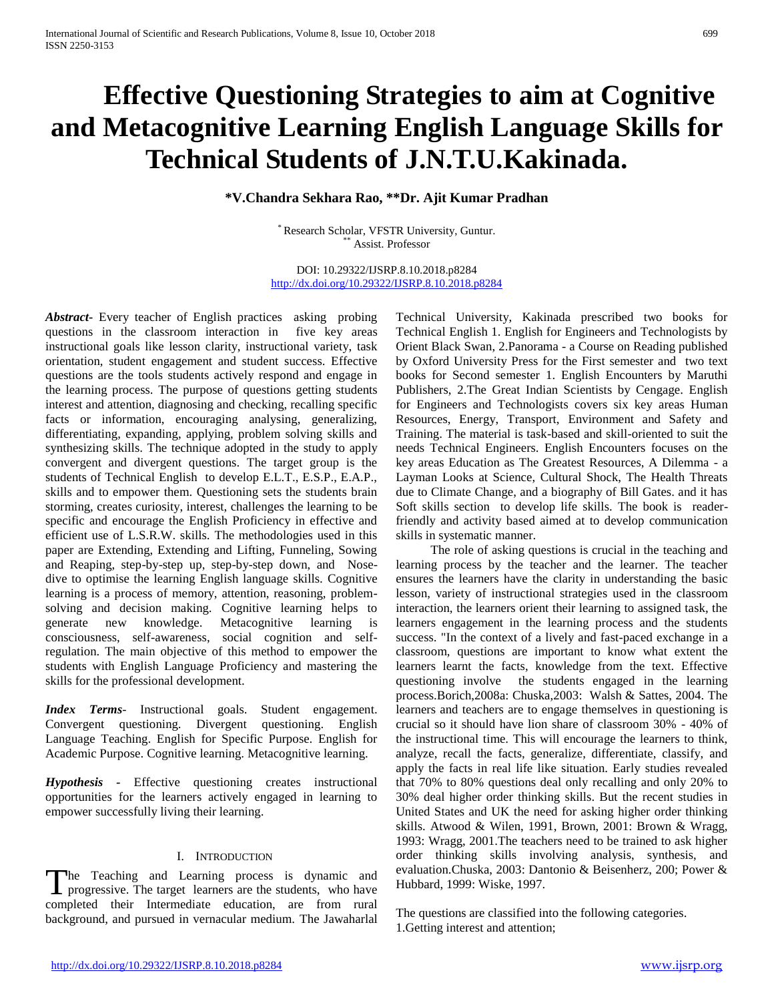# **Effective Questioning Strategies to aim at Cognitive and Metacognitive Learning English Language Skills for Technical Students of J.N.T.U.Kakinada.**

**\*V.Chandra Sekhara Rao, \*\*Dr. Ajit Kumar Pradhan**

\* Research Scholar, VFSTR University, Guntur. Assist. Professor

DOI: 10.29322/IJSRP.8.10.2018.p8284 <http://dx.doi.org/10.29322/IJSRP.8.10.2018.p8284>

*Abstract***-** Every teacher of English practices asking probing questions in the classroom interaction in five key areas instructional goals like lesson clarity, instructional variety, task orientation, student engagement and student success. Effective questions are the tools students actively respond and engage in the learning process. The purpose of questions getting students interest and attention, diagnosing and checking, recalling specific facts or information, encouraging analysing, generalizing, differentiating, expanding, applying, problem solving skills and synthesizing skills. The technique adopted in the study to apply convergent and divergent questions. The target group is the students of Technical English to develop E.L.T., E.S.P., E.A.P., skills and to empower them. Questioning sets the students brain storming, creates curiosity, interest, challenges the learning to be specific and encourage the English Proficiency in effective and efficient use of L.S.R.W. skills. The methodologies used in this paper are Extending, Extending and Lifting, Funneling, Sowing and Reaping, step-by-step up, step-by-step down, and Nosedive to optimise the learning English language skills. Cognitive learning is a process of memory, attention, reasoning, problemsolving and decision making. Cognitive learning helps to generate new knowledge. Metacognitive learning is consciousness, self-awareness, social cognition and selfregulation. The main objective of this method to empower the students with English Language Proficiency and mastering the skills for the professional development.

*Index Terms*- Instructional goals. Student engagement. Convergent questioning. Divergent questioning. English Language Teaching. English for Specific Purpose. English for Academic Purpose. Cognitive learning. Metacognitive learning.

*Hypothesis -* Effective questioning creates instructional opportunities for the learners actively engaged in learning to empower successfully living their learning.

# I. INTRODUCTION

he Teaching and Learning process is dynamic and The Teaching and Learning process is dynamic and progressive. The target learners are the students, who have completed their Intermediate education, are from rural background, and pursued in vernacular medium. The Jawaharlal

Technical University, Kakinada prescribed two books for Technical English 1. English for Engineers and Technologists by Orient Black Swan, 2.Panorama - a Course on Reading published by Oxford University Press for the First semester and two text books for Second semester 1. English Encounters by Maruthi Publishers, 2.The Great Indian Scientists by Cengage. English for Engineers and Technologists covers six key areas Human Resources, Energy, Transport, Environment and Safety and Training. The material is task-based and skill-oriented to suit the needs Technical Engineers. English Encounters focuses on the key areas Education as The Greatest Resources, A Dilemma - a Layman Looks at Science, Cultural Shock, The Health Threats due to Climate Change, and a biography of Bill Gates. and it has Soft skills section to develop life skills. The book is readerfriendly and activity based aimed at to develop communication skills in systematic manner.

 The role of asking questions is crucial in the teaching and learning process by the teacher and the learner. The teacher ensures the learners have the clarity in understanding the basic lesson, variety of instructional strategies used in the classroom interaction, the learners orient their learning to assigned task, the learners engagement in the learning process and the students success. "In the context of a lively and fast-paced exchange in a classroom, questions are important to know what extent the learners learnt the facts, knowledge from the text. Effective questioning involve the students engaged in the learning process.Borich,2008a: Chuska,2003: Walsh & Sattes, 2004. The learners and teachers are to engage themselves in questioning is crucial so it should have lion share of classroom 30% - 40% of the instructional time. This will encourage the learners to think, analyze, recall the facts, generalize, differentiate, classify, and apply the facts in real life like situation. Early studies revealed that 70% to 80% questions deal only recalling and only 20% to 30% deal higher order thinking skills. But the recent studies in United States and UK the need for asking higher order thinking skills. Atwood & Wilen, 1991, Brown, 2001: Brown & Wragg, 1993: Wragg, 2001.The teachers need to be trained to ask higher order thinking skills involving analysis, synthesis, and evaluation.Chuska, 2003: Dantonio & Beisenherz, 200; Power & Hubbard, 1999: Wiske, 1997.

The questions are classified into the following categories. 1.Getting interest and attention;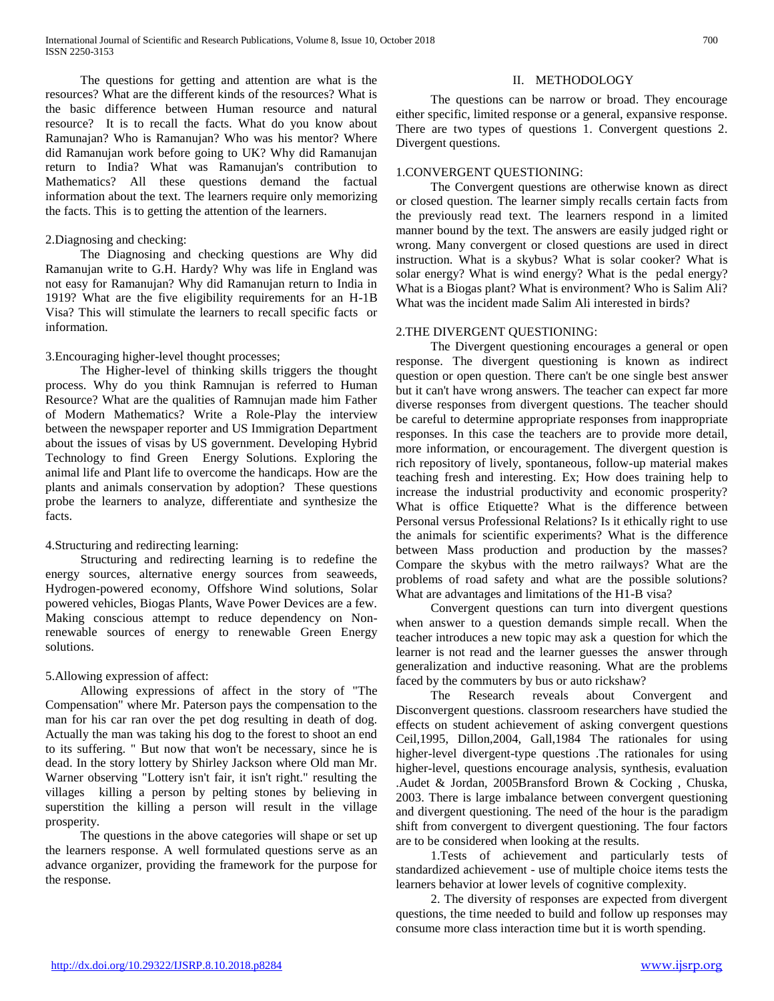The questions for getting and attention are what is the resources? What are the different kinds of the resources? What is the basic difference between Human resource and natural resource? It is to recall the facts. What do you know about Ramunajan? Who is Ramanujan? Who was his mentor? Where did Ramanujan work before going to UK? Why did Ramanujan return to India? What was Ramanujan's contribution to Mathematics? All these questions demand the factual information about the text. The learners require only memorizing the facts. This is to getting the attention of the learners.

#### 2.Diagnosing and checking:

 The Diagnosing and checking questions are Why did Ramanujan write to G.H. Hardy? Why was life in England was not easy for Ramanujan? Why did Ramanujan return to India in 1919? What are the five eligibility requirements for an H-1B Visa? This will stimulate the learners to recall specific facts or information.

# 3.Encouraging higher-level thought processes;

 The Higher-level of thinking skills triggers the thought process. Why do you think Ramnujan is referred to Human Resource? What are the qualities of Ramnujan made him Father of Modern Mathematics? Write a Role-Play the interview between the newspaper reporter and US Immigration Department about the issues of visas by US government. Developing Hybrid Technology to find Green Energy Solutions. Exploring the animal life and Plant life to overcome the handicaps. How are the plants and animals conservation by adoption? These questions probe the learners to analyze, differentiate and synthesize the facts.

# 4.Structuring and redirecting learning:

 Structuring and redirecting learning is to redefine the energy sources, alternative energy sources from seaweeds, Hydrogen-powered economy, Offshore Wind solutions, Solar powered vehicles, Biogas Plants, Wave Power Devices are a few. Making conscious attempt to reduce dependency on Nonrenewable sources of energy to renewable Green Energy solutions.

# 5.Allowing expression of affect:

 Allowing expressions of affect in the story of "The Compensation" where Mr. Paterson pays the compensation to the man for his car ran over the pet dog resulting in death of dog. Actually the man was taking his dog to the forest to shoot an end to its suffering. " But now that won't be necessary, since he is dead. In the story lottery by Shirley Jackson where Old man Mr. Warner observing "Lottery isn't fair, it isn't right." resulting the villages killing a person by pelting stones by believing in superstition the killing a person will result in the village prosperity.

 The questions in the above categories will shape or set up the learners response. A well formulated questions serve as an advance organizer, providing the framework for the purpose for the response.

# II. METHODOLOGY

 The questions can be narrow or broad. They encourage either specific, limited response or a general, expansive response. There are two types of questions 1. Convergent questions 2. Divergent questions.

# 1.CONVERGENT QUESTIONING:

 The Convergent questions are otherwise known as direct or closed question. The learner simply recalls certain facts from the previously read text. The learners respond in a limited manner bound by the text. The answers are easily judged right or wrong. Many convergent or closed questions are used in direct instruction. What is a skybus? What is solar cooker? What is solar energy? What is wind energy? What is the pedal energy? What is a Biogas plant? What is environment? Who is Salim Ali? What was the incident made Salim Ali interested in birds?

# 2.THE DIVERGENT QUESTIONING:

 The Divergent questioning encourages a general or open response. The divergent questioning is known as indirect question or open question. There can't be one single best answer but it can't have wrong answers. The teacher can expect far more diverse responses from divergent questions. The teacher should be careful to determine appropriate responses from inappropriate responses. In this case the teachers are to provide more detail, more information, or encouragement. The divergent question is rich repository of lively, spontaneous, follow-up material makes teaching fresh and interesting. Ex; How does training help to increase the industrial productivity and economic prosperity? What is office Etiquette? What is the difference between Personal versus Professional Relations? Is it ethically right to use the animals for scientific experiments? What is the difference between Mass production and production by the masses? Compare the skybus with the metro railways? What are the problems of road safety and what are the possible solutions? What are advantages and limitations of the H1-B visa?

 Convergent questions can turn into divergent questions when answer to a question demands simple recall. When the teacher introduces a new topic may ask a question for which the learner is not read and the learner guesses the answer through generalization and inductive reasoning. What are the problems faced by the commuters by bus or auto rickshaw?

 The Research reveals about Convergent and Disconvergent questions. classroom researchers have studied the effects on student achievement of asking convergent questions Ceil,1995, Dillon,2004, Gall,1984 The rationales for using higher-level divergent-type questions .The rationales for using higher-level, questions encourage analysis, synthesis, evaluation .Audet & Jordan, 2005Bransford Brown & Cocking , Chuska, 2003. There is large imbalance between convergent questioning and divergent questioning. The need of the hour is the paradigm shift from convergent to divergent questioning. The four factors are to be considered when looking at the results.

 1.Tests of achievement and particularly tests of standardized achievement - use of multiple choice items tests the learners behavior at lower levels of cognitive complexity.

 2. The diversity of responses are expected from divergent questions, the time needed to build and follow up responses may consume more class interaction time but it is worth spending.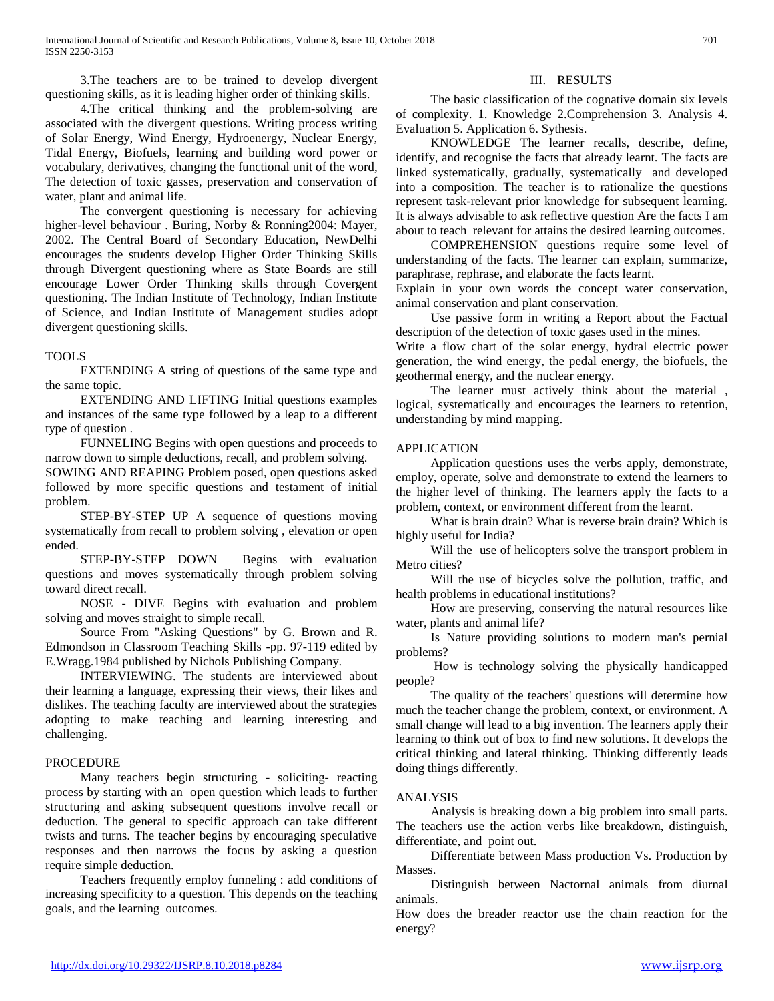3.The teachers are to be trained to develop divergent questioning skills, as it is leading higher order of thinking skills.

 4.The critical thinking and the problem-solving are associated with the divergent questions. Writing process writing of Solar Energy, Wind Energy, Hydroenergy, Nuclear Energy, Tidal Energy, Biofuels, learning and building word power or vocabulary, derivatives, changing the functional unit of the word, The detection of toxic gasses, preservation and conservation of water, plant and animal life.

 The convergent questioning is necessary for achieving higher-level behaviour . Buring, Norby & Ronning2004: Mayer, 2002. The Central Board of Secondary Education, NewDelhi encourages the students develop Higher Order Thinking Skills through Divergent questioning where as State Boards are still encourage Lower Order Thinking skills through Covergent questioning. The Indian Institute of Technology, Indian Institute of Science, and Indian Institute of Management studies adopt divergent questioning skills.

# TOOLS

 EXTENDING A string of questions of the same type and the same topic.

 EXTENDING AND LIFTING Initial questions examples and instances of the same type followed by a leap to a different type of question .

 FUNNELING Begins with open questions and proceeds to narrow down to simple deductions, recall, and problem solving.

SOWING AND REAPING Problem posed, open questions asked followed by more specific questions and testament of initial problem.

 STEP-BY-STEP UP A sequence of questions moving systematically from recall to problem solving , elevation or open ended.

 STEP-BY-STEP DOWN Begins with evaluation questions and moves systematically through problem solving toward direct recall.

 NOSE - DIVE Begins with evaluation and problem solving and moves straight to simple recall.

 Source From "Asking Questions" by G. Brown and R. Edmondson in Classroom Teaching Skills -pp. 97-119 edited by E.Wragg.1984 published by Nichols Publishing Company.

 INTERVIEWING. The students are interviewed about their learning a language, expressing their views, their likes and dislikes. The teaching faculty are interviewed about the strategies adopting to make teaching and learning interesting and challenging.

# PROCEDURE

 Many teachers begin structuring - soliciting- reacting process by starting with an open question which leads to further structuring and asking subsequent questions involve recall or deduction. The general to specific approach can take different twists and turns. The teacher begins by encouraging speculative responses and then narrows the focus by asking a question require simple deduction.

 Teachers frequently employ funneling : add conditions of increasing specificity to a question. This depends on the teaching goals, and the learning outcomes.

# III. RESULTS

 The basic classification of the cognative domain six levels of complexity. 1. Knowledge 2.Comprehension 3. Analysis 4. Evaluation 5. Application 6. Sythesis.

 KNOWLEDGE The learner recalls, describe, define, identify, and recognise the facts that already learnt. The facts are linked systematically, gradually, systematically and developed into a composition. The teacher is to rationalize the questions represent task-relevant prior knowledge for subsequent learning. It is always advisable to ask reflective question Are the facts I am about to teach relevant for attains the desired learning outcomes.

 COMPREHENSION questions require some level of understanding of the facts. The learner can explain, summarize, paraphrase, rephrase, and elaborate the facts learnt.

Explain in your own words the concept water conservation, animal conservation and plant conservation.

 Use passive form in writing a Report about the Factual description of the detection of toxic gases used in the mines.

Write a flow chart of the solar energy, hydral electric power generation, the wind energy, the pedal energy, the biofuels, the geothermal energy, and the nuclear energy.

 The learner must actively think about the material , logical, systematically and encourages the learners to retention, understanding by mind mapping.

# APPLICATION

 Application questions uses the verbs apply, demonstrate, employ, operate, solve and demonstrate to extend the learners to the higher level of thinking. The learners apply the facts to a problem, context, or environment different from the learnt.

 What is brain drain? What is reverse brain drain? Which is highly useful for India?

 Will the use of helicopters solve the transport problem in Metro cities?

 Will the use of bicycles solve the pollution, traffic, and health problems in educational institutions?

 How are preserving, conserving the natural resources like water, plants and animal life?

 Is Nature providing solutions to modern man's pernial problems?

 How is technology solving the physically handicapped people?

 The quality of the teachers' questions will determine how much the teacher change the problem, context, or environment. A small change will lead to a big invention. The learners apply their learning to think out of box to find new solutions. It develops the critical thinking and lateral thinking. Thinking differently leads doing things differently.

# ANALYSIS

 Analysis is breaking down a big problem into small parts. The teachers use the action verbs like breakdown, distinguish, differentiate, and point out.

 Differentiate between Mass production Vs. Production by Masses.

 Distinguish between Nactornal animals from diurnal animals.

How does the breader reactor use the chain reaction for the energy?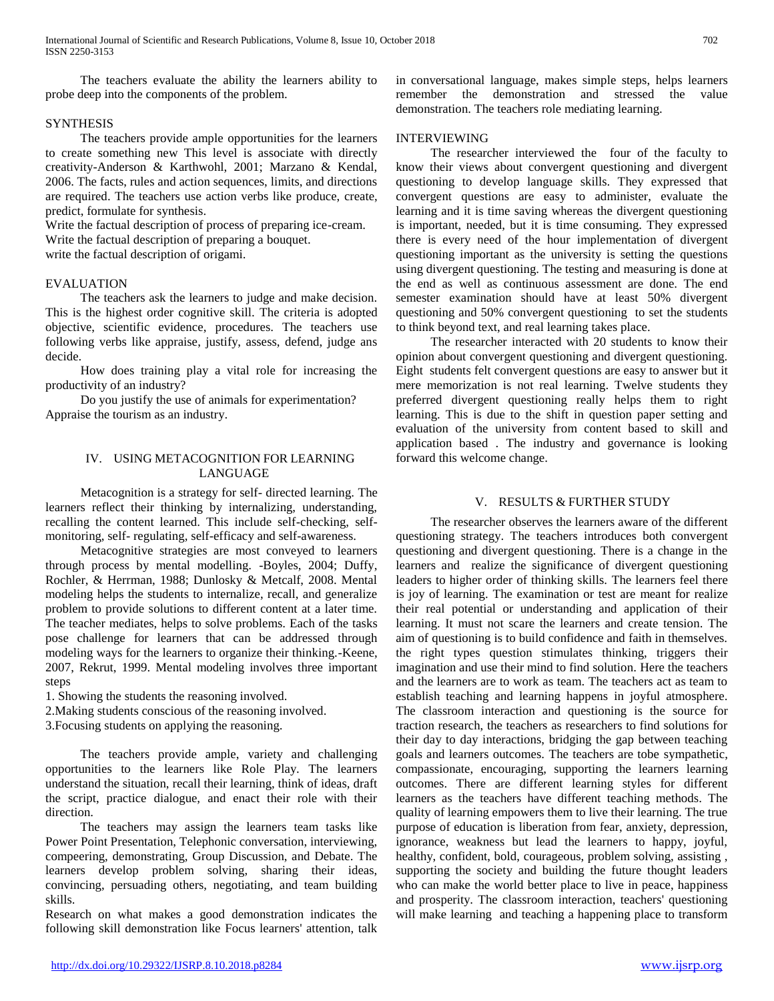The teachers evaluate the ability the learners ability to probe deep into the components of the problem.

# **SYNTHESIS**

 The teachers provide ample opportunities for the learners to create something new This level is associate with directly creativity-Anderson & Karthwohl, 2001; Marzano & Kendal, 2006. The facts, rules and action sequences, limits, and directions are required. The teachers use action verbs like produce, create, predict, formulate for synthesis.

Write the factual description of process of preparing ice-cream.

Write the factual description of preparing a bouquet.

write the factual description of origami.

# EVALUATION

 The teachers ask the learners to judge and make decision. This is the highest order cognitive skill. The criteria is adopted objective, scientific evidence, procedures. The teachers use following verbs like appraise, justify, assess, defend, judge ans decide.

 How does training play a vital role for increasing the productivity of an industry?

 Do you justify the use of animals for experimentation? Appraise the tourism as an industry.

# IV. USING METACOGNITION FOR LEARNING LANGUAGE

 Metacognition is a strategy for self- directed learning. The learners reflect their thinking by internalizing, understanding, recalling the content learned. This include self-checking, selfmonitoring, self- regulating, self-efficacy and self-awareness.

 Metacognitive strategies are most conveyed to learners through process by mental modelling. -Boyles, 2004; Duffy, Rochler, & Herrman, 1988; Dunlosky & Metcalf, 2008. Mental modeling helps the students to internalize, recall, and generalize problem to provide solutions to different content at a later time. The teacher mediates, helps to solve problems. Each of the tasks pose challenge for learners that can be addressed through modeling ways for the learners to organize their thinking.-Keene, 2007, Rekrut, 1999. Mental modeling involves three important steps

- 1. Showing the students the reasoning involved.
- 2.Making students conscious of the reasoning involved.
- 3.Focusing students on applying the reasoning.

 The teachers provide ample, variety and challenging opportunities to the learners like Role Play. The learners understand the situation, recall their learning, think of ideas, draft the script, practice dialogue, and enact their role with their direction.

 The teachers may assign the learners team tasks like Power Point Presentation, Telephonic conversation, interviewing, compeering, demonstrating, Group Discussion, and Debate. The learners develop problem solving, sharing their ideas, convincing, persuading others, negotiating, and team building skills.

Research on what makes a good demonstration indicates the following skill demonstration like Focus learners' attention, talk in conversational language, makes simple steps, helps learners remember the demonstration and stressed the value demonstration. The teachers role mediating learning.

# INTERVIEWING

 The researcher interviewed the four of the faculty to know their views about convergent questioning and divergent questioning to develop language skills. They expressed that convergent questions are easy to administer, evaluate the learning and it is time saving whereas the divergent questioning is important, needed, but it is time consuming. They expressed there is every need of the hour implementation of divergent questioning important as the university is setting the questions using divergent questioning. The testing and measuring is done at the end as well as continuous assessment are done. The end semester examination should have at least 50% divergent questioning and 50% convergent questioning to set the students to think beyond text, and real learning takes place.

 The researcher interacted with 20 students to know their opinion about convergent questioning and divergent questioning. Eight students felt convergent questions are easy to answer but it mere memorization is not real learning. Twelve students they preferred divergent questioning really helps them to right learning. This is due to the shift in question paper setting and evaluation of the university from content based to skill and application based . The industry and governance is looking forward this welcome change.

# V. RESULTS & FURTHER STUDY

 The researcher observes the learners aware of the different questioning strategy. The teachers introduces both convergent questioning and divergent questioning. There is a change in the learners and realize the significance of divergent questioning leaders to higher order of thinking skills. The learners feel there is joy of learning. The examination or test are meant for realize their real potential or understanding and application of their learning. It must not scare the learners and create tension. The aim of questioning is to build confidence and faith in themselves. the right types question stimulates thinking, triggers their imagination and use their mind to find solution. Here the teachers and the learners are to work as team. The teachers act as team to establish teaching and learning happens in joyful atmosphere. The classroom interaction and questioning is the source for traction research, the teachers as researchers to find solutions for their day to day interactions, bridging the gap between teaching goals and learners outcomes. The teachers are tobe sympathetic, compassionate, encouraging, supporting the learners learning outcomes. There are different learning styles for different learners as the teachers have different teaching methods. The quality of learning empowers them to live their learning. The true purpose of education is liberation from fear, anxiety, depression, ignorance, weakness but lead the learners to happy, joyful, healthy, confident, bold, courageous, problem solving, assisting , supporting the society and building the future thought leaders who can make the world better place to live in peace, happiness and prosperity. The classroom interaction, teachers' questioning will make learning and teaching a happening place to transform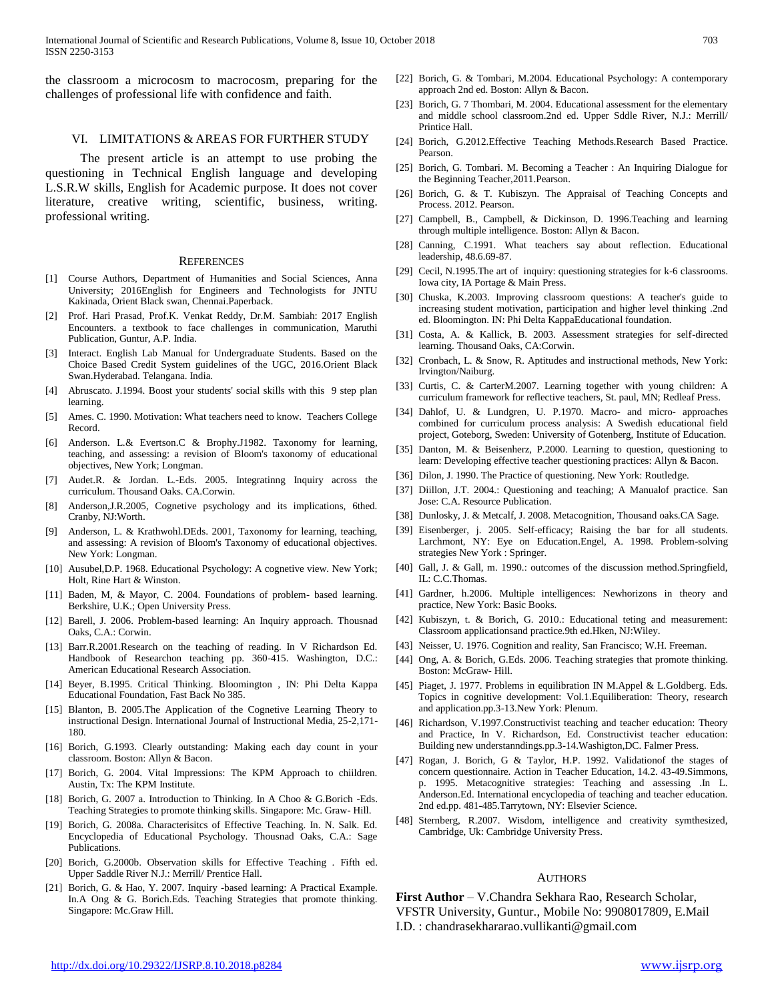the classroom a microcosm to macrocosm, preparing for the challenges of professional life with confidence and faith.

#### VI. LIMITATIONS & AREAS FOR FURTHER STUDY

 The present article is an attempt to use probing the questioning in Technical English language and developing L.S.R.W skills, English for Academic purpose. It does not cover literature, creative writing, scientific, business, writing. professional writing.

#### **REFERENCES**

- [1] Course Authors, Department of Humanities and Social Sciences, Anna University; 2016English for Engineers and Technologists for JNTU Kakinada, Orient Black swan, Chennai.Paperback.
- [2] Prof. Hari Prasad, Prof.K. Venkat Reddy, Dr.M. Sambiah: 2017 English Encounters. a textbook to face challenges in communication, Maruthi Publication, Guntur, A.P. India.
- [3] Interact. English Lab Manual for Undergraduate Students. Based on the Choice Based Credit System guidelines of the UGC, 2016.Orient Black Swan.Hyderabad. Telangana. India.
- [4] Abruscato. J.1994. Boost your students' social skills with this 9 step plan learning.
- [5] Ames. C. 1990. Motivation: What teachers need to know. Teachers College Record.
- [6] Anderson. L.& Evertson.C & Brophy.J1982. Taxonomy for learning, teaching, and assessing: a revision of Bloom's taxonomy of educational objectives, New York; Longman.
- [7] Audet.R. & Jordan. L.-Eds. 2005. Integratinng Inquiry across the curriculum. Thousand Oaks. CA.Corwin.
- [8] Anderson,J.R.2005, Cognetive psychology and its implications, 6thed. Cranby, NJ:Worth.
- [9] Anderson, L. & Krathwohl.DEds. 2001, Taxonomy for learning, teaching, and assessing: A revision of Bloom's Taxonomy of educational objectives. New York: Longman.
- [10] Ausubel, D.P. 1968. Educational Psychology: A cognetive view. New York; Holt, Rine Hart & Winston.
- [11] Baden, M, & Mayor, C. 2004. Foundations of problem- based learning. Berkshire, U.K.; Open University Press.
- [12] Barell, J. 2006. Problem-based learning: An Inquiry approach. Thousnad Oaks, C.A.: Corwin.
- [13] Barr.R.2001.Research on the teaching of reading. In V Richardson Ed. Handbook of Researchon teaching pp. 360-415. Washington, D.C.: American Educational Research Association.
- [14] Beyer, B.1995. Critical Thinking. Bloomington, IN: Phi Delta Kappa Educational Foundation, Fast Back No 385.
- [15] Blanton, B. 2005. The Application of the Cognetive Learning Theory to instructional Design. International Journal of Instructional Media, 25-2,171- 180.
- [16] Borich, G.1993. Clearly outstanding: Making each day count in your classroom. Boston: Allyn & Bacon.
- [17] Borich, G. 2004. Vital Impressions: The KPM Approach to chiildren. Austin, Tx: The KPM Institute.
- [18] Borich, G. 2007 a. Introduction to Thinking. In A Choo & G.Borich -Eds. Teaching Strategies to promote thinking skills. Singapore: Mc. Graw- Hill.
- [19] Borich, G. 2008a. Characterisites of Effective Teaching. In. N. Salk. Ed. Encyclopedia of Educational Psychology. Thousnad Oaks, C.A.: Sage Publications.
- [20] Borich, G.2000b. Observation skills for Effective Teaching . Fifth ed. Upper Saddle River N.J.: Merrill/ Prentice Hall.
- [21] Borich, G. & Hao, Y. 2007. Inquiry -based learning: A Practical Example. In.A Ong & G. Borich.Eds. Teaching Strategies that promote thinking. Singapore: Mc.Graw Hill.
- [22] Borich, G. & Tombari, M.2004. Educational Psychology: A contemporary approach 2nd ed. Boston: Allyn & Bacon.
- [23] Borich, G. 7 Thombari, M. 2004. Educational assessment for the elementary and middle school classroom.2nd ed. Upper Sddle River, N.J.: Merrill/ Printice Hall.
- [24] Borich, G.2012.Effective Teaching Methods.Research Based Practice. Pearson.
- [25] Borich, G. Tombari. M. Becoming a Teacher : An Inquiring Dialogue for the Beginning Teacher,2011.Pearson.
- [26] Borich, G. & T. Kubiszyn. The Appraisal of Teaching Concepts and Process. 2012. Pearson.
- [27] Campbell, B., Campbell, & Dickinson, D. 1996.Teaching and learning through multiple intelligence. Boston: Allyn & Bacon.
- [28] Canning, C.1991. What teachers say about reflection. Educational leadership, 48.6.69-87.
- [29] Cecil, N.1995.The art of inquiry: questioning strategies for k-6 classrooms. Iowa city, IA Portage & Main Press.
- [30] Chuska, K.2003. Improving classroom questions: A teacher's guide to increasing student motivation, participation and higher level thinking .2nd ed. Bloomington. IN: Phi Delta KappaEducational foundation.
- [31] Costa, A. & Kallick, B. 2003. Assessment strategies for self-directed learning. Thousand Oaks, CA:Corwin.
- [32] Cronbach, L. & Snow, R. Aptitudes and instructional methods, New York: Irvington/Naiburg.
- [33] Curtis, C. & CarterM.2007. Learning together with young children: A curriculum framework for reflective teachers, St. paul, MN; Redleaf Press.
- [34] Dahlof, U. & Lundgren, U. P.1970. Macro- and micro- approaches combined for curriculum process analysis: A Swedish educational field project, Goteborg, Sweden: University of Gotenberg, Institute of Education.
- [35] Danton, M. & Beisenherz, P.2000. Learning to question, questioning to learn: Developing effective teacher questioning practices: Allyn & Bacon.
- [36] Dilon, J. 1990. The Practice of questioning. New York: Routledge.
- [37] Diillon, J.T. 2004.: Questioning and teaching; A Manualof practice. San Jose: C.A. Resource Publication.
- [38] Dunlosky, J. & Metcalf, J. 2008. Metacognition, Thousand oaks.CA Sage.
- [39] Eisenberger, *j.* 2005. Self-efficacy; Raising the bar for all students. Larchmont, NY: Eye on Education.Engel, A. 1998. Problem-solving strategies New York : Springer.
- [40] Gall, J. & Gall, m. 1990.: outcomes of the discussion method.Springfield, IL: C.C.Thomas.
- [41] Gardner, h.2006. Multiple intelligences: Newhorizons in theory and practice, New York: Basic Books.
- [42] Kubiszyn, t. & Borich, G. 2010.: Educational teting and measurement: Classroom applicationsand practice.9th ed.Hken, NJ:Wiley.
- [43] Neisser, U. 1976. Cognition and reality, San Francisco; W.H. Freeman.
- [44] Ong, A. & Borich, G.Eds. 2006. Teaching strategies that promote thinking. Boston: McGraw- Hill.
- [45] Piaget, J. 1977. Problems in equilibration IN M.Appel & L.Goldberg. Eds. Topics in cognitive development: Vol.1.Equiliberation: Theory, research and application.pp.3-13.New York: Plenum.
- [46] Richardson, V.1997. Constructivist teaching and teacher education: Theory and Practice, In V. Richardson, Ed. Constructivist teacher education: Building new understanndings.pp.3-14.Washigton,DC. Falmer Press.
- [47] Rogan, J. Borich, G & Taylor, H.P. 1992. Validation f the stages of concern questionnaire. Action in Teacher Education, 14.2. 43-49.Simmons, p. 1995. Metacognitive strategies: Teaching and assessing .In L. Anderson.Ed. International encyclopedia of teaching and teacher education. 2nd ed.pp. 481-485.Tarrytown, NY: Elsevier Science.
- [48] Sternberg, R.2007. Wisdom, intelligence and creativity symthesized, Cambridge, Uk: Cambridge University Press.

#### AUTHORS

**First Author** – V.Chandra Sekhara Rao, Research Scholar, VFSTR University, Guntur., Mobile No: 9908017809, E.Mail I.D. : chandrasekhararao.vullikanti@gmail.com